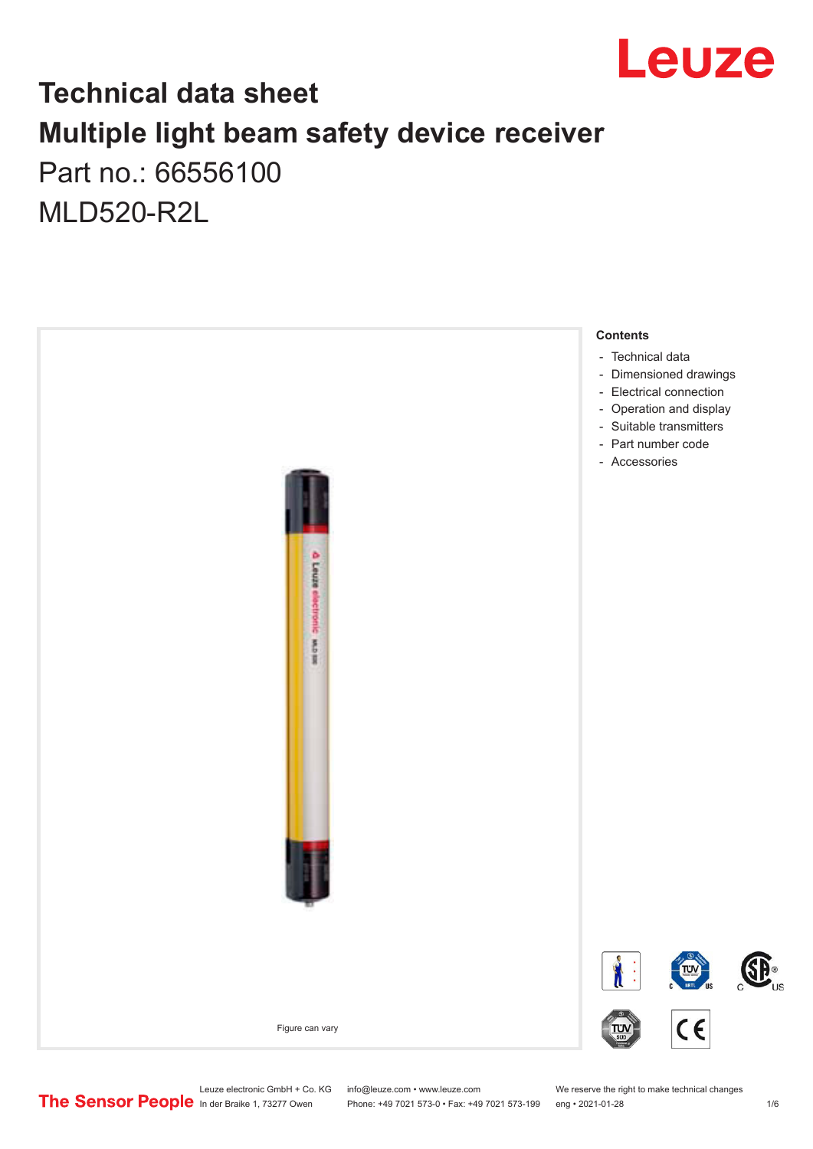

## **Technical data sheet Multiple light beam safety device receiver** Part no.: 66556100

MLD520-R2L



Phone: +49 7021 573-0 • Fax: +49 7021 573-199 eng • 2021-01-28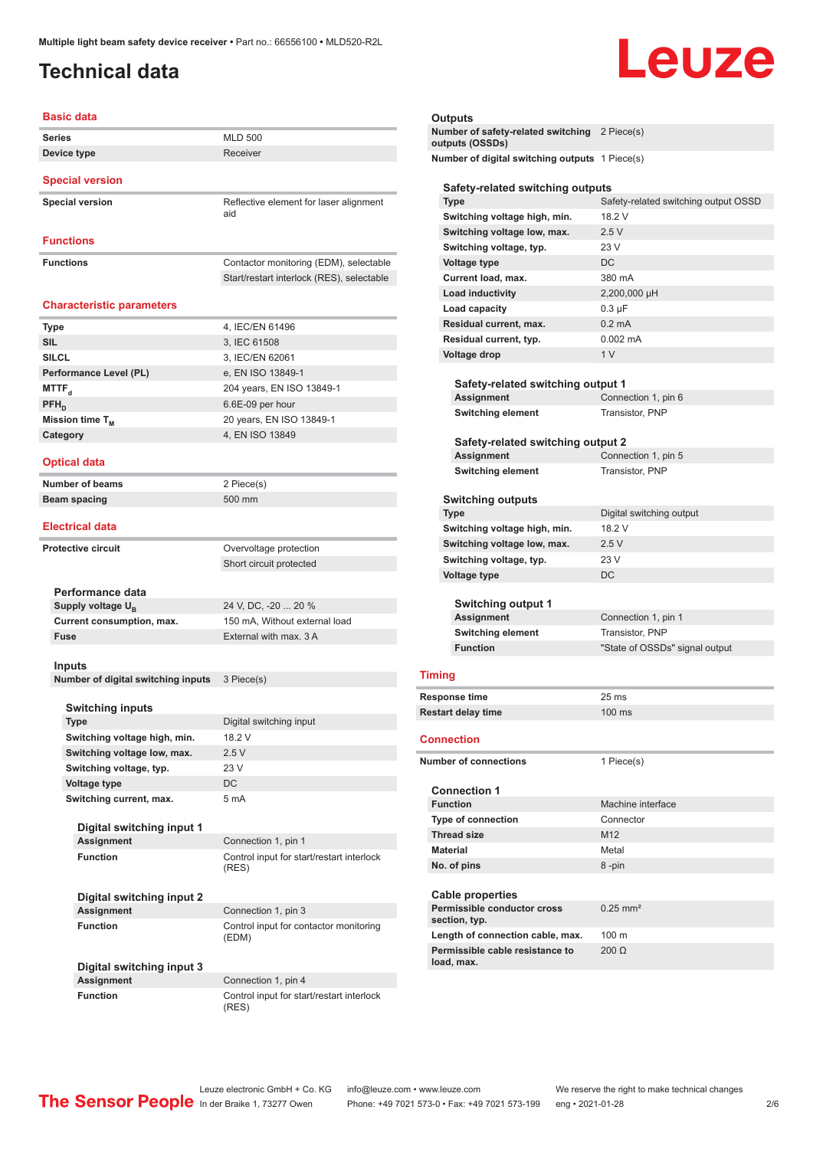## <span id="page-1-0"></span>**Technical data**

# Leuze

| <b>Basic data</b>                              |                                                                                     |
|------------------------------------------------|-------------------------------------------------------------------------------------|
| <b>Series</b>                                  | <b>MLD 500</b>                                                                      |
| Device type                                    | Receiver                                                                            |
| <b>Special version</b>                         |                                                                                     |
| <b>Special version</b>                         | Reflective element for laser alignment<br>aid                                       |
| <b>Functions</b>                               |                                                                                     |
| <b>Functions</b>                               | Contactor monitoring (EDM), selectable<br>Start/restart interlock (RES), selectable |
| <b>Characteristic parameters</b>               |                                                                                     |
| <b>Type</b>                                    | 4, IEC/EN 61496                                                                     |
| <b>SIL</b>                                     | 3, IEC 61508                                                                        |
| <b>SILCL</b>                                   | 3, IEC/EN 62061                                                                     |
| Performance Level (PL)                         | e, EN ISO 13849-1                                                                   |
| MTTF <sub>d</sub>                              | 204 years, EN ISO 13849-1                                                           |
| PFH <sub>D</sub>                               | 6.6E-09 per hour                                                                    |
| Mission time T <sub>M</sub>                    | 20 years, EN ISO 13849-1                                                            |
| Category                                       | 4, EN ISO 13849                                                                     |
|                                                |                                                                                     |
| <b>Optical data</b>                            |                                                                                     |
| <b>Number of beams</b>                         | 2 Piece(s)                                                                          |
| Beam spacing                                   | 500 mm                                                                              |
| <b>Electrical data</b>                         |                                                                                     |
| <b>Protective circuit</b>                      | Overvoltage protection                                                              |
|                                                | Short circuit protected                                                             |
|                                                |                                                                                     |
| Performance data                               |                                                                                     |
| Supply voltage U <sub>B</sub>                  | 24 V, DC, -20  20 %                                                                 |
| Current consumption, max.                      | 150 mA, Without external load                                                       |
| Fuse                                           | External with max 3 A                                                               |
| Inputs                                         |                                                                                     |
| Number of digital switching inputs             | 3 Piece(s)                                                                          |
| <b>Switching inputs</b>                        |                                                                                     |
| Type                                           | Digital switching input                                                             |
| Switching voltage high, min.                   | 18.2 V                                                                              |
| Switching voltage low, max.                    | 2.5V                                                                                |
| Switching voltage, typ.                        | 23 V                                                                                |
| <b>Voltage type</b>                            | DC                                                                                  |
| Switching current, max.                        | 5 mA                                                                                |
| Digital switching input 1                      |                                                                                     |
| <b>Assignment</b>                              | Connection 1, pin 1                                                                 |
| <b>Function</b>                                | Control input for start/restart interlock<br>(RES)                                  |
| Digital switching input 2                      |                                                                                     |
| <b>Assignment</b>                              | Connection 1, pin 3                                                                 |
| <b>Function</b>                                | Control input for contactor monitoring<br>(EDM)                                     |
| Digital switching input 3<br><b>Assignment</b> | Connection 1, pin 4                                                                 |
| <b>Function</b>                                | Control input for start/restart interlock                                           |
|                                                |                                                                                     |

## **Ou**<br>Nu

|                                                                  |                                                | <b>Outputs</b>                    |                                      |
|------------------------------------------------------------------|------------------------------------------------|-----------------------------------|--------------------------------------|
| Number of safety-related switching 2 Piece(s)<br>outputs (OSSDs) |                                                |                                   |                                      |
|                                                                  | Number of digital switching outputs 1 Piece(s) |                                   |                                      |
|                                                                  |                                                | Safety-related switching outputs  |                                      |
|                                                                  |                                                | <b>Type</b>                       | Safety-related switching output OSSD |
|                                                                  |                                                | Switching voltage high, min.      | 18 2 V                               |
|                                                                  |                                                | Switching voltage low, max.       | 2.5V                                 |
|                                                                  |                                                | Switching voltage, typ.           | 23 V                                 |
|                                                                  | <b>Voltage type</b>                            |                                   | <b>DC</b>                            |
|                                                                  | Current load, max.                             |                                   | 380 mA                               |
|                                                                  |                                                | <b>Load inductivity</b>           | 2,200,000 µH                         |
|                                                                  |                                                | Load capacity                     | $0.3 \mu F$                          |
|                                                                  |                                                | Residual current, max.            | $0.2 \text{ mA}$                     |
|                                                                  |                                                | Residual current, typ.            | $0.002 \, \text{mA}$                 |
|                                                                  |                                                | <b>Voltage drop</b>               | 1 <sub>V</sub>                       |
|                                                                  |                                                |                                   |                                      |
|                                                                  |                                                | Safety-related switching output 1 |                                      |
|                                                                  | <b>Assignment</b>                              |                                   | Connection 1, pin 6                  |
|                                                                  |                                                | <b>Switching element</b>          | Transistor, PNP                      |
| Safety-related switching output 2                                |                                                |                                   |                                      |
|                                                                  | <b>Assignment</b>                              |                                   | Connection 1, pin 5                  |
| <b>Switching element</b>                                         |                                                |                                   | Transistor, PNP                      |
|                                                                  |                                                |                                   |                                      |

#### **Switching outputs**

| <b>Type</b>                  | Digital switching output       |  |
|------------------------------|--------------------------------|--|
| Switching voltage high, min. | 18.2 V                         |  |
| Switching voltage low, max.  | 2.5V                           |  |
| Switching voltage, typ.      | 23V                            |  |
| <b>Voltage type</b>          | DC                             |  |
| <b>Switching output 1</b>    |                                |  |
| Assignment                   | Connection 1, pin 1            |  |
| <b>Switching element</b>     | Transistor, PNP                |  |
| <b>Function</b>              | "State of OSSDs" signal output |  |
|                              |                                |  |

#### **Timing**

| <b>Response time</b>      | 25 ms            |
|---------------------------|------------------|
| <b>Restart delay time</b> | $100 \text{ ms}$ |

#### **Connection**

| <b>Number of connections</b> |                                               | 1 Piece(s)          |
|------------------------------|-----------------------------------------------|---------------------|
| <b>Connection 1</b>          |                                               |                     |
|                              | <b>Function</b>                               | Machine interface   |
|                              | <b>Type of connection</b>                     | Connector           |
|                              | <b>Thread size</b>                            | M <sub>12</sub>     |
|                              | <b>Material</b>                               | Metal               |
|                              | No. of pins                                   | 8-pin               |
|                              | <b>Cable properties</b>                       |                     |
|                              | Permissible conductor cross<br>section, typ.  | $0.25 \text{ mm}^2$ |
|                              | Length of connection cable, max.              | $100 \text{ m}$     |
|                              | Permissible cable resistance to<br>load, max. | $200 \Omega$        |

(RES)

Leuze electronic GmbH + Co. KG info@leuze.com • www.leuze.com We reserve the right to make technical changes<br> **The Sensor People** In der Braike 1, 73277 Owen Phone: +49 7021 573-0 • Fax: +49 7021 573-199 eng • 2021-01-28

Phone: +49 7021 573-0 • Fax: +49 7021 573-199 eng • 2021-01-28 2 2 /6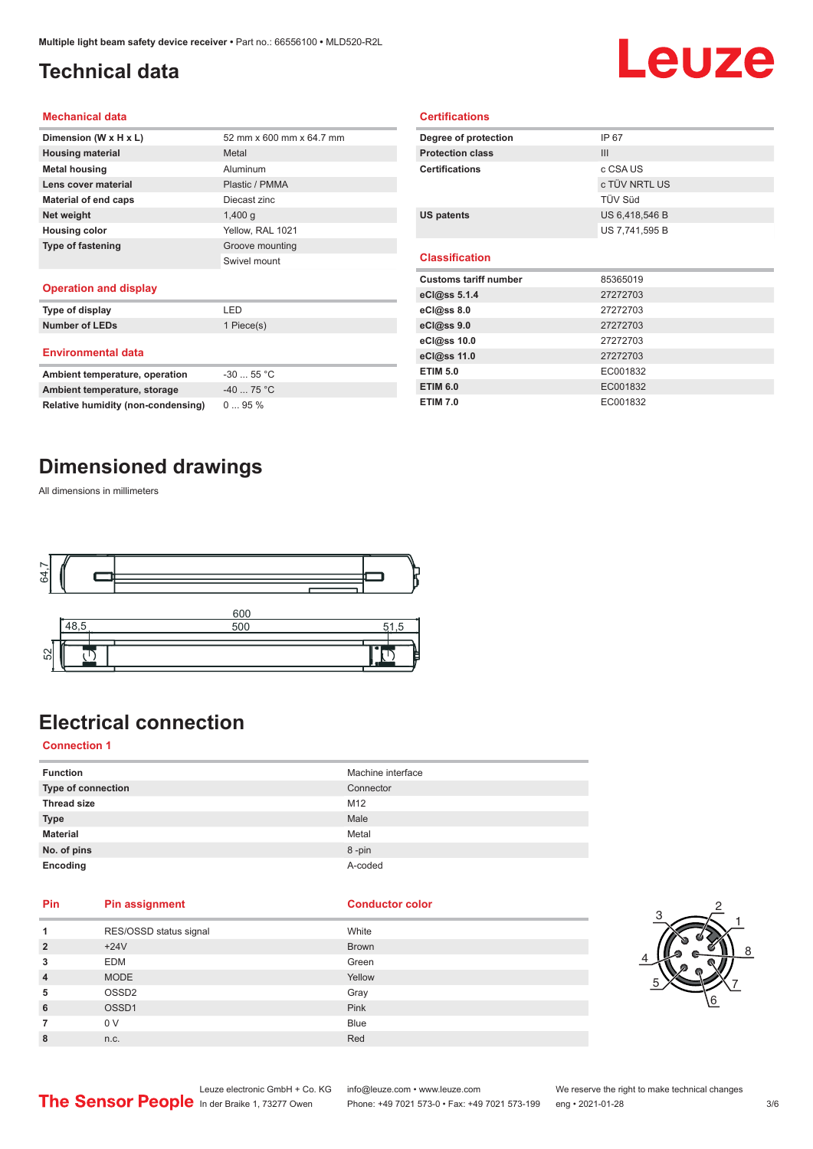## <span id="page-2-0"></span>**Technical data**

# Leuze

#### **Mechanical data**

| Dimension (W x H x L)    | 52 mm x 600 mm x 64.7 mm |
|--------------------------|--------------------------|
| <b>Housing material</b>  | Metal                    |
| <b>Metal housing</b>     | Aluminum                 |
| Lens cover material      | Plastic / PMMA           |
| Material of end caps     | Diecast zinc             |
| Net weight               | $1,400$ q                |
| <b>Housing color</b>     | Yellow, RAL 1021         |
| <b>Type of fastening</b> | Groove mounting          |
|                          | Swivel mount             |
|                          |                          |

#### **Operation and display**

| Type of display                | LED        |
|--------------------------------|------------|
| <b>Number of LEDs</b>          | 1 Piece(s) |
| <b>Environmental data</b>      |            |
| Ambient temperature, operation | $-3055$ °C |
| Ambient temperature, storage   | $-4075 °C$ |

| Degree of protection         | IP 67          |  |
|------------------------------|----------------|--|
| <b>Protection class</b>      | III            |  |
| <b>Certifications</b>        | c CSA US       |  |
|                              | c TÜV NRTL US  |  |
|                              | TÜV Süd        |  |
| <b>US patents</b>            | US 6,418,546 B |  |
|                              | US 7,741,595 B |  |
|                              |                |  |
| <b>Classification</b>        |                |  |
|                              |                |  |
| <b>Customs tariff number</b> | 85365019       |  |
| eCl@ss 5.1.4                 | 27272703       |  |
| eCl@ss 8.0                   | 27272703       |  |
| eCl@ss 9.0                   | 27272703       |  |
| eCl@ss 10.0                  | 27272703       |  |
| eCl@ss 11.0                  | 27272703       |  |
| <b>ETIM 5.0</b>              | EC001832       |  |

**ETIM 7.0** EC001832

**Certifications**

### **Dimensioned drawings**

**Relative humidity (non-condensing)** 0 ... 95 %

All dimensions in millimeters



## **Electrical connection**

#### **Connection 1**

| <b>Function</b>    | Machine interface |
|--------------------|-------------------|
| Type of connection | Connector         |
| <b>Thread size</b> | M12               |
| <b>Type</b>        | Male              |
| <b>Material</b>    | Metal             |
| No. of pins        | 8-pin             |
| Encoding           | A-coded           |

### **Pin Pin assignment Conductor Conductor Color**

| 1               | RES/OSSD status signal | White        |
|-----------------|------------------------|--------------|
| $\overline{2}$  | $+24V$                 | <b>Brown</b> |
| 3               | <b>EDM</b>             | Green        |
| $\overline{4}$  | <b>MODE</b>            | Yellow       |
| 5               | OSSD <sub>2</sub>      | Gray         |
| $6\phantom{1}6$ | OSSD <sub>1</sub>      | Pink         |
| 7               | 0 V                    | <b>Blue</b>  |
| 8               | n.c.                   | Red          |



Leuze electronic GmbH + Co. KG info@leuze.com • www.leuze.com We reserve the right to make technical changes<br>
The Sensor People in der Braike 1, 73277 Owen Phone: +49 7021 573-0 • Fax: +49 7021 573-199 eng • 2021-01-28

Phone: +49 7021 573-0 • Fax: +49 7021 573-199 eng • 2021-01-28 3/6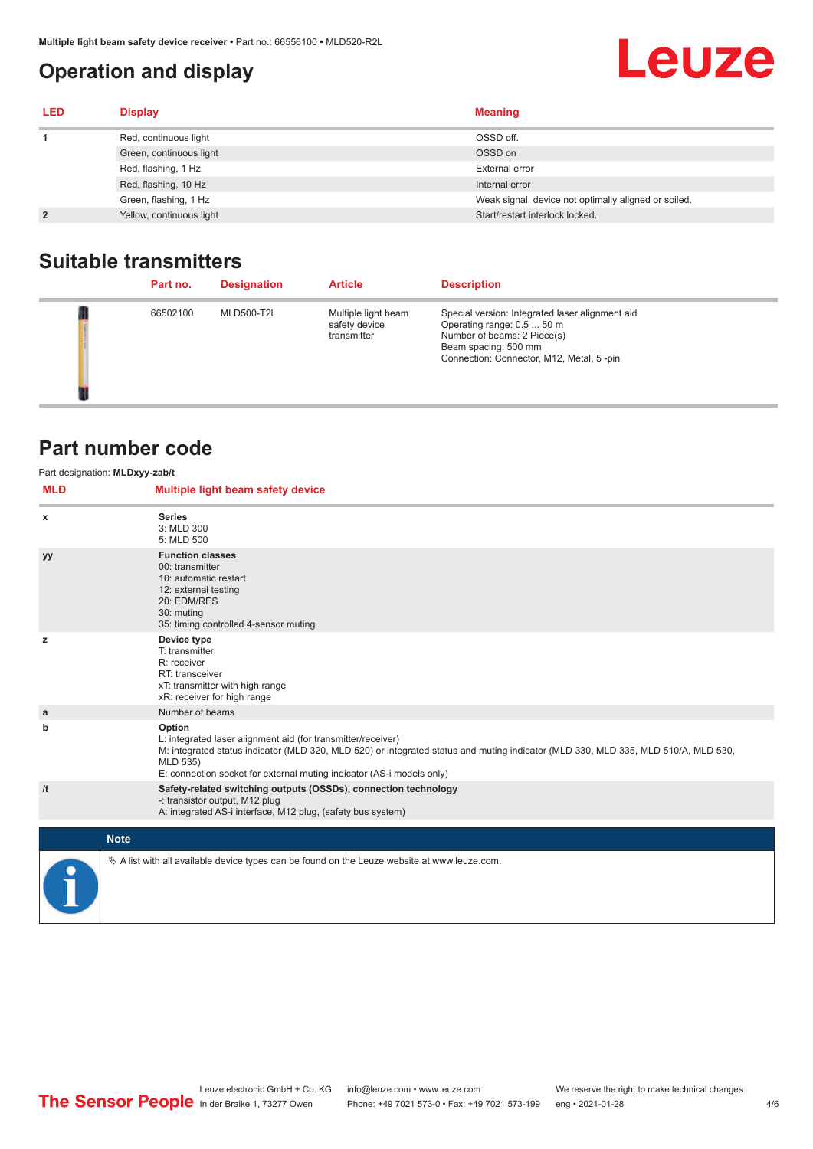## <span id="page-3-0"></span>**Operation and display**

## **Leuze**

| <b>LED</b>     | <b>Display</b>           | <b>Meaning</b>                                       |
|----------------|--------------------------|------------------------------------------------------|
|                | Red, continuous light    | OSSD off.                                            |
|                | Green, continuous light  | OSSD on                                              |
|                | Red, flashing, 1 Hz      | External error                                       |
|                | Red, flashing, 10 Hz     | Internal error                                       |
|                | Green, flashing, 1 Hz    | Weak signal, device not optimally aligned or soiled. |
| $\overline{2}$ | Yellow, continuous light | Start/restart interlock locked.                      |

## **Suitable transmitters**

| Part no. | <b>Designation</b> | <b>Article</b>                                      | <b>Description</b>                                                                                                                                                               |
|----------|--------------------|-----------------------------------------------------|----------------------------------------------------------------------------------------------------------------------------------------------------------------------------------|
| 66502100 | <b>MLD500-T2L</b>  | Multiple light beam<br>safety device<br>transmitter | Special version: Integrated laser alignment aid<br>Operating range: 0.5  50 m<br>Number of beams: 2 Piece(s)<br>Beam spacing: 500 mm<br>Connection: Connector, M12, Metal, 5-pin |

## **Part number code**

| <b>MLD</b> | Part designation: MLDxyy-zab/t<br>Multiple light beam safety device                                                                                                                                                                                                                               |
|------------|---------------------------------------------------------------------------------------------------------------------------------------------------------------------------------------------------------------------------------------------------------------------------------------------------|
| x          | <b>Series</b><br>3: MLD 300<br>5: MLD 500                                                                                                                                                                                                                                                         |
| уу         | <b>Function classes</b><br>00: transmitter<br>10: automatic restart<br>12: external testing<br>20: EDM/RES<br>30: muting<br>35: timing controlled 4-sensor muting                                                                                                                                 |
| z          | Device type<br>T: transmitter<br>R: receiver<br>RT: transceiver<br>xT: transmitter with high range<br>xR: receiver for high range                                                                                                                                                                 |
| a          | Number of beams                                                                                                                                                                                                                                                                                   |
| b          | Option<br>L: integrated laser alignment aid (for transmitter/receiver)<br>M: integrated status indicator (MLD 320, MLD 520) or integrated status and muting indicator (MLD 330, MLD 335, MLD 510/A, MLD 530,<br>MLD 535)<br>E: connection socket for external muting indicator (AS-i models only) |
| /t         | Safety-related switching outputs (OSSDs), connection technology<br>-: transistor output, M12 plug<br>A: integrated AS-i interface, M12 plug, (safety bus system)                                                                                                                                  |
|            | <b>Note</b>                                                                                                                                                                                                                                                                                       |
|            | $\&$ A list with all available device types can be found on the Leuze website at www.leuze.com.                                                                                                                                                                                                   |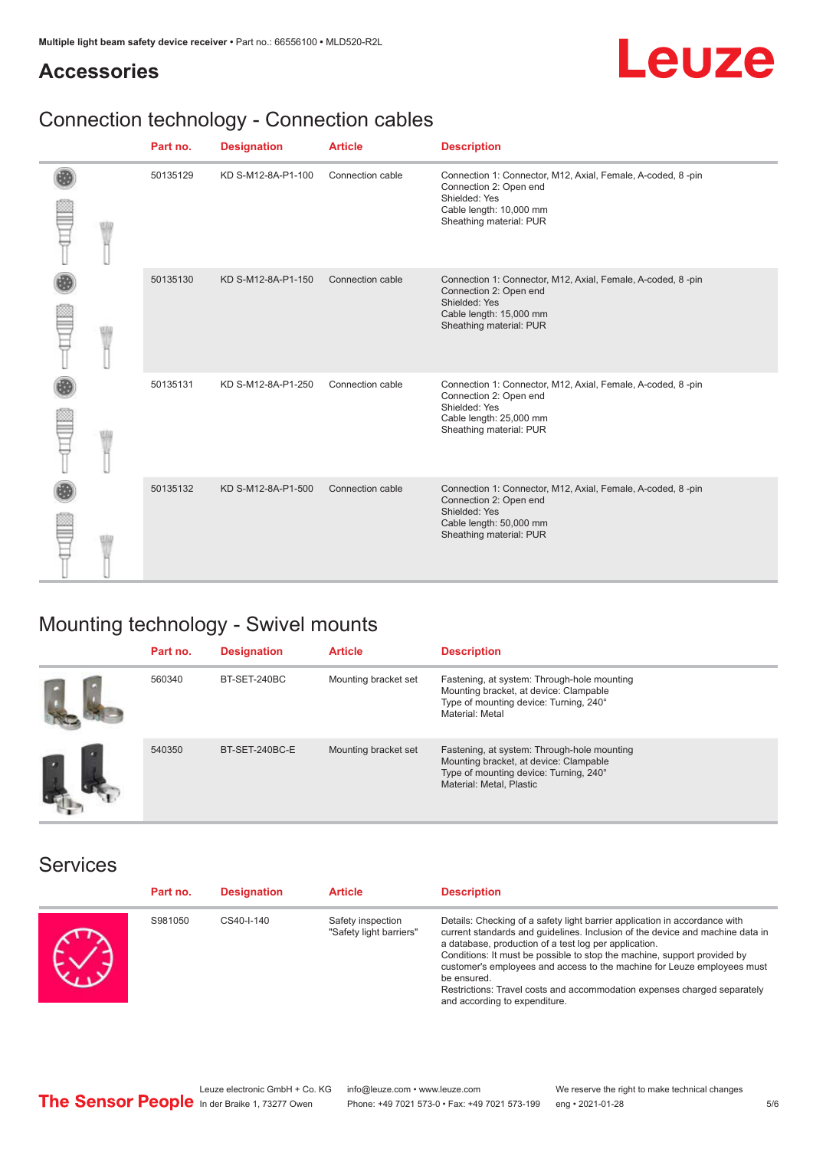## **Accessories**



## Connection technology - Connection cables

|  | Part no. | <b>Designation</b> | <b>Article</b>   | <b>Description</b>                                                                                                                                           |
|--|----------|--------------------|------------------|--------------------------------------------------------------------------------------------------------------------------------------------------------------|
|  | 50135129 | KD S-M12-8A-P1-100 | Connection cable | Connection 1: Connector, M12, Axial, Female, A-coded, 8-pin<br>Connection 2: Open end<br>Shielded: Yes<br>Cable length: 10,000 mm<br>Sheathing material: PUR |
|  | 50135130 | KD S-M12-8A-P1-150 | Connection cable | Connection 1: Connector, M12, Axial, Female, A-coded, 8-pin<br>Connection 2: Open end<br>Shielded: Yes<br>Cable length: 15,000 mm<br>Sheathing material: PUR |
|  | 50135131 | KD S-M12-8A-P1-250 | Connection cable | Connection 1: Connector, M12, Axial, Female, A-coded, 8-pin<br>Connection 2: Open end<br>Shielded: Yes<br>Cable length: 25,000 mm<br>Sheathing material: PUR |
|  | 50135132 | KD S-M12-8A-P1-500 | Connection cable | Connection 1: Connector, M12, Axial, Female, A-coded, 8-pin<br>Connection 2: Open end<br>Shielded: Yes<br>Cable length: 50,000 mm<br>Sheathing material: PUR |

## Mounting technology - Swivel mounts

| Part no. | <b>Designation</b> | <b>Article</b>       | <b>Description</b>                                                                                                                                          |
|----------|--------------------|----------------------|-------------------------------------------------------------------------------------------------------------------------------------------------------------|
| 560340   | BT-SET-240BC       | Mounting bracket set | Fastening, at system: Through-hole mounting<br>Mounting bracket, at device: Clampable<br>Type of mounting device: Turning, 240°<br>Material: Metal          |
| 540350   | BT-SET-240BC-E     | Mounting bracket set | Fastening, at system: Through-hole mounting<br>Mounting bracket, at device: Clampable<br>Type of mounting device: Turning, 240°<br>Material: Metal, Plastic |

### Services

| Part no. | <b>Designation</b> | <b>Article</b>                               | <b>Description</b>                                                                                                                                                                                                                                                                                                                                                                                                                                                                                      |
|----------|--------------------|----------------------------------------------|---------------------------------------------------------------------------------------------------------------------------------------------------------------------------------------------------------------------------------------------------------------------------------------------------------------------------------------------------------------------------------------------------------------------------------------------------------------------------------------------------------|
| S981050  | CS40-I-140         | Safety inspection<br>"Safety light barriers" | Details: Checking of a safety light barrier application in accordance with<br>current standards and quidelines. Inclusion of the device and machine data in<br>a database, production of a test log per application.<br>Conditions: It must be possible to stop the machine, support provided by<br>customer's employees and access to the machine for Leuze employees must<br>be ensured.<br>Restrictions: Travel costs and accommodation expenses charged separately<br>and according to expenditure. |